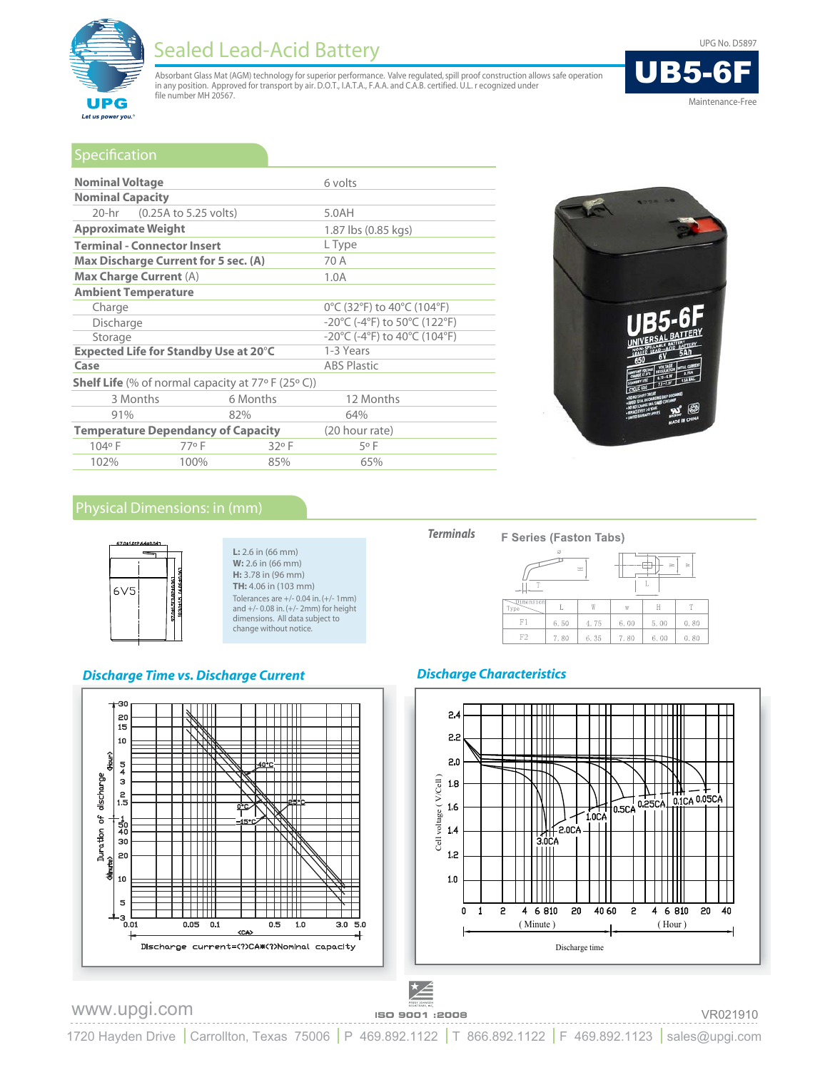

# **Sealed Lead-Acid Battery**

Absorbant Glass Mat (AGM) technology for superior performance. Valve regulated, spill proof construction allows safe operation<br>in any position. Approved for transport by air. D.O.T., I.A.T.A., F.A.A. and C.A.B. certified. file number MH 20567.



Maintenance-Free

| Specification                                               |                       |                                                                         |                    |  |  |
|-------------------------------------------------------------|-----------------------|-------------------------------------------------------------------------|--------------------|--|--|
| <b>Nominal Voltage</b>                                      |                       |                                                                         | 6 volts            |  |  |
| <b>Nominal Capacity</b>                                     |                       |                                                                         |                    |  |  |
| $20 - hr$                                                   | (0.25A to 5.25 volts) |                                                                         | 5.0AH              |  |  |
| <b>Approximate Weight</b>                                   |                       | 1.87 lbs (0.85 kgs)                                                     |                    |  |  |
| <b>Terminal - Connector Insert</b>                          |                       | L Type                                                                  |                    |  |  |
| <b>Max Discharge Current for 5 sec. (A)</b>                 |                       | 70 A                                                                    |                    |  |  |
| <b>Max Charge Current (A)</b>                               |                       | 1.0A                                                                    |                    |  |  |
| <b>Ambient Temperature</b>                                  |                       |                                                                         |                    |  |  |
| Charge                                                      |                       | 0°C (32°F) to 40°C (104°F)                                              |                    |  |  |
| Discharge                                                   |                       | $-20^{\circ}$ C (-4 $^{\circ}$ F) to 50 $^{\circ}$ C (122 $^{\circ}$ F) |                    |  |  |
| Storage                                                     |                       | -20°C (-4°F) to 40°C (104°F)                                            |                    |  |  |
| Expected Life for Standby Use at 20°C                       |                       | 1-3 Years                                                               |                    |  |  |
| Case                                                        |                       |                                                                         | <b>ABS Plastic</b> |  |  |
| <b>Shelf Life</b> (% of normal capacity at $77°$ F (25° C)) |                       |                                                                         |                    |  |  |
| 3 Months                                                    |                       | 6 Months                                                                | 12 Months          |  |  |
| 91%                                                         |                       | 82%                                                                     | 64%                |  |  |
| <b>Temperature Dependancy of Capacity</b>                   |                       | (20 hour rate)                                                          |                    |  |  |
| 104°F                                                       | 77°F                  | 32°F                                                                    | 5°F                |  |  |
| 102%                                                        | 100%                  | 85%                                                                     | 65%                |  |  |





#### $L: 2.6$  in (66 mm) W: 2.6 in (66 mm) H: 3.78 in (96 mm) TH: 4.06 in (103 mm) Tolerances are +/- 0.04 in. (+/- 1mm) and +/- 0.08 in. (+/- 2mm) for height dimensions. All data subject to change without notice.

## **Discharge Time vs. Discharge Current**







## **Discharge Characteristics**



# www.upgi.com

Է≰ ISO 9001 :2008

### VR021910

1720 Hayden Drive | Carrollton, Texas 75006 | P 469.892.1122 | T 866.892.1122 | F 469.892.1123 | sales@upgi.com